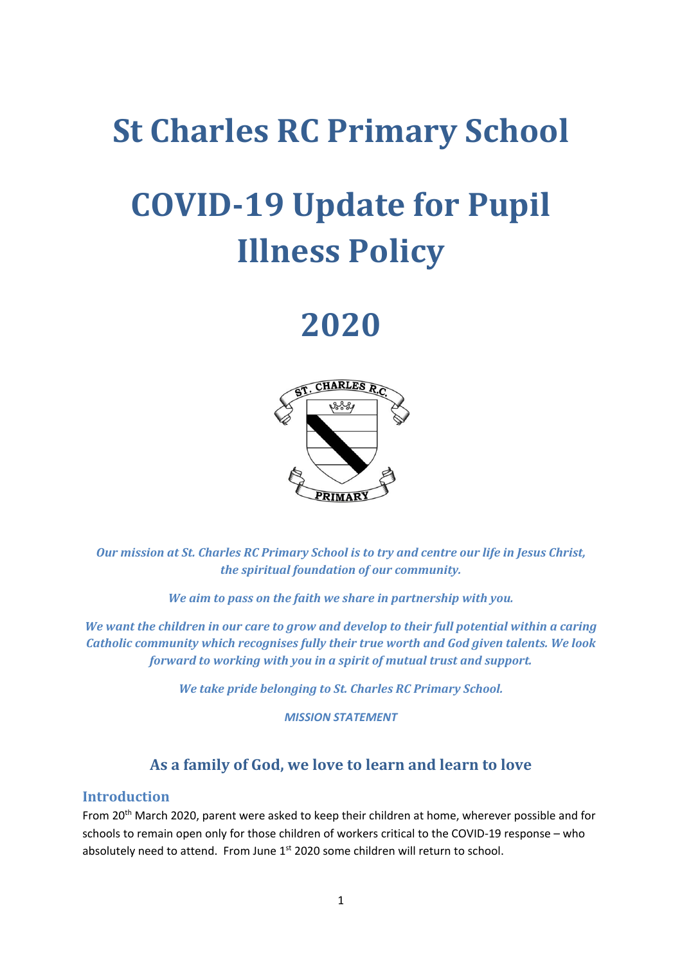## **St Charles RC Primary School**

# **COVID-19 Update for Pupil Illness Policy**

## **2020**



*Our mission at St. Charles RC Primary School is to try and centre our life in Jesus Christ, the spiritual foundation of our community.*

*We aim to pass on the faith we share in partnership with you.*

*We want the children in our care to grow and develop to their full potential within a caring Catholic community which recognises fully their true worth and God given talents. We look forward to working with you in a spirit of mutual trust and support.*

*We take pride belonging to St. Charles RC Primary School.*

*MISSION STATEMENT*

## **As a family of God, we love to learn and learn to love**

### **Introduction**

From 20<sup>th</sup> March 2020, parent were asked to keep their children at home, wherever possible and for schools to remain open only for those children of workers critical to the COVID-19 response – who absolutely need to attend. From June 1<sup>st</sup> 2020 some children will return to school.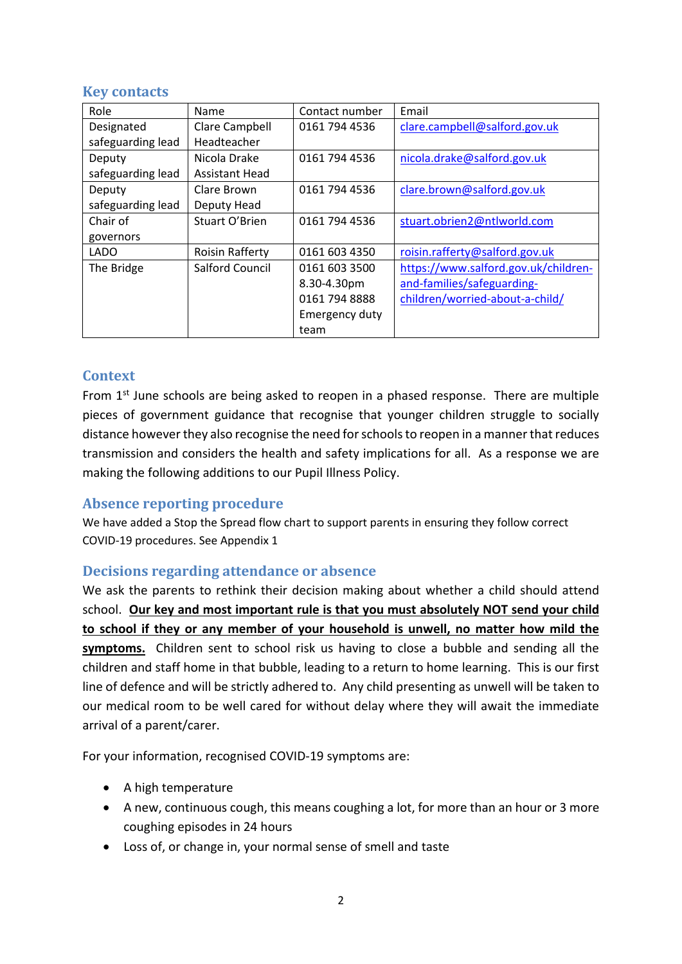## **Key contacts**

| Role              | Name                   | Contact number | Email                                |
|-------------------|------------------------|----------------|--------------------------------------|
| Designated        | Clare Campbell         | 0161 794 4536  | clare.campbell@salford.gov.uk        |
| safeguarding lead | Headteacher            |                |                                      |
| Deputy            | Nicola Drake           | 0161 794 4536  | nicola.drake@salford.gov.uk          |
| safeguarding lead | <b>Assistant Head</b>  |                |                                      |
| Deputy            | Clare Brown            | 0161 794 4536  | clare.brown@salford.gov.uk           |
| safeguarding lead | Deputy Head            |                |                                      |
| Chair of          | Stuart O'Brien         | 0161 794 4536  | stuart.obrien2@ntlworld.com          |
| governors         |                        |                |                                      |
| <b>LADO</b>       | <b>Roisin Rafferty</b> | 0161 603 4350  | roisin.rafferty@salford.gov.uk       |
| The Bridge        | <b>Salford Council</b> | 0161 603 3500  | https://www.salford.gov.uk/children- |
|                   |                        | 8.30-4.30pm    | and-families/safeguarding-           |
|                   |                        | 0161 794 8888  | children/worried-about-a-child/      |
|                   |                        | Emergency duty |                                      |
|                   |                        | team           |                                      |

## **Context**

From  $1<sup>st</sup>$  June schools are being asked to reopen in a phased response. There are multiple pieces of government guidance that recognise that younger children struggle to socially distance however they also recognise the need for schools to reopen in a manner that reduces transmission and considers the health and safety implications for all. As a response we are making the following additions to our Pupil Illness Policy.

## **Absence reporting procedure**

We have added a Stop the Spread flow chart to support parents in ensuring they follow correct COVID-19 procedures. See Appendix 1

## **Decisions regarding attendance or absence**

We ask the parents to rethink their decision making about whether a child should attend school. **Our key and most important rule is that you must absolutely NOT send your child to school if they or any member of your household is unwell, no matter how mild the symptoms.** Children sent to school risk us having to close a bubble and sending all the children and staff home in that bubble, leading to a return to home learning. This is our first line of defence and will be strictly adhered to. Any child presenting as unwell will be taken to our medical room to be well cared for without delay where they will await the immediate arrival of a parent/carer.

For your information, recognised COVID-19 symptoms are:

- A high temperature
- A new, continuous cough, this means coughing a lot, for more than an hour or 3 more coughing episodes in 24 hours
- Loss of, or change in, your normal sense of smell and taste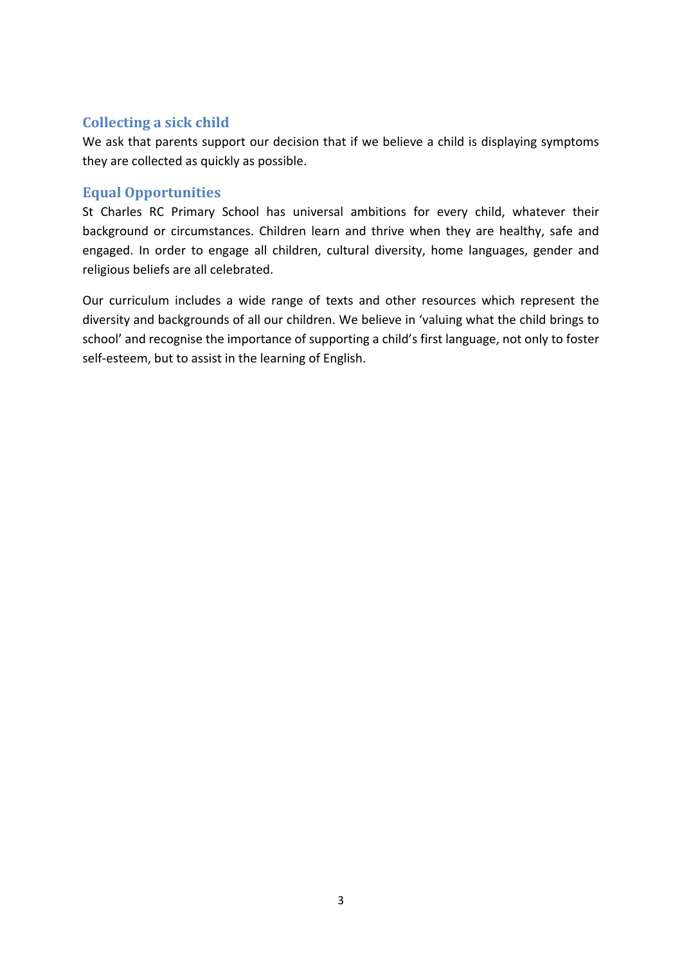## **Collecting a sick child**

We ask that parents support our decision that if we believe a child is displaying symptoms they are collected as quickly as possible.

### **Equal Opportunities**

St Charles RC Primary School has universal ambitions for every child, whatever their background or circumstances. Children learn and thrive when they are healthy, safe and engaged. In order to engage all children, cultural diversity, home languages, gender and religious beliefs are all celebrated.

Our curriculum includes a wide range of texts and other resources which represent the diversity and backgrounds of all our children. We believe in 'valuing what the child brings to school' and recognise the importance of supporting a child's first language, not only to foster self-esteem, but to assist in the learning of English.